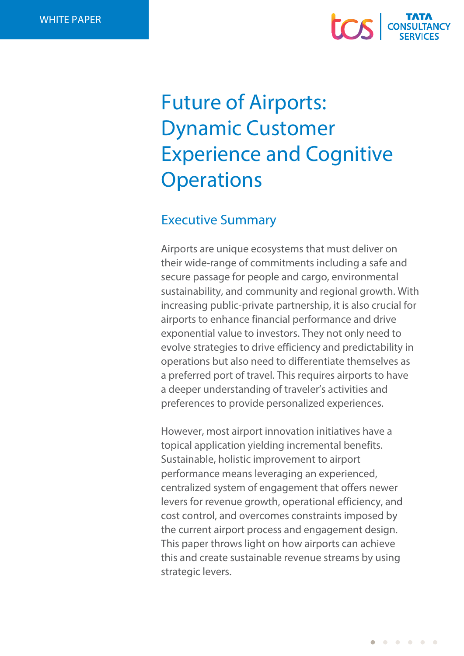# **COS** CONSULT

## Future of Airports: Dynamic Customer Experience and Cognitive **Operations**

## Executive Summary

Airports are unique ecosystems that must deliver on their wide-range of commitments including a safe and secure passage for people and cargo, environmental sustainability, and community and regional growth. With increasing public-private partnership, it is also crucial for airports to enhance financial performance and drive exponential value to investors. They not only need to evolve strategies to drive efficiency and predictability in operations but also need to differentiate themselves as a preferred port of travel. This requires airports to have a deeper understanding of traveler's activities and preferences to provide personalized experiences.

However, most airport innovation initiatives have a topical application yielding incremental benefits. Sustainable, holistic improvement to airport performance means leveraging an experienced, centralized system of engagement that offers newer levers for revenue growth, operational efficiency, and cost control, and overcomes constraints imposed by the current airport process and engagement design. This paper throws light on how airports can achieve this and create sustainable revenue streams by using strategic levers.

 $\begin{array}{cccccccccccccc} \bullet & \bullet & \bullet & \bullet & \bullet & \bullet & \bullet & \bullet \end{array}$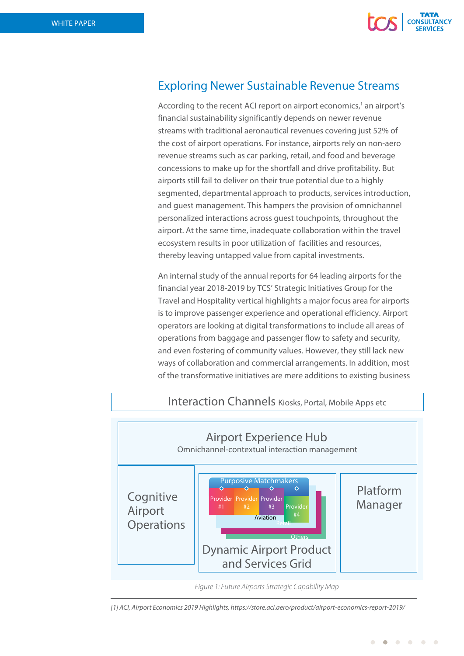

## Exploring Newer Sustainable Revenue Streams

According to the recent ACI report on airport economics,<sup>1</sup> an airport's financial sustainability significantly depends on newer revenue streams with traditional aeronautical revenues covering just 52% of the cost of airport operations. For instance, airports rely on non-aero revenue streams such as car parking, retail, and food and beverage concessions to make up for the shortfall and drive profitability. But airports still fail to deliver on their true potential due to a highly segmented, departmental approach to products, services introduction, and guest management. This hampers the provision of omnichannel personalized interactions across guest touchpoints, throughout the airport. At the same time, inadequate collaboration within the travel ecosystem results in poor utilization of facilities and resources, thereby leaving untapped value from capital investments.

An internal study of the annual reports for 64 leading airports for the financial year 2018-2019 by TCS' Strategic Initiatives Group for the Travel and Hospitality vertical highlights a major focus area for airports is to improve passenger experience and operational efficiency. Airport operators are looking at digital transformations to include all areas of operations from baggage and passenger flow to safety and security, and even fostering of community values. However, they still lack new ways of collaboration and commercial arrangements. In addition, most of the transformative initiatives are mere additions to existing business



### Interaction Channels Kiosks, Portal, Mobile Apps etc

*[1] ACI, Airport Economics 2019 Highlights, https://store.aci.aero/product/airport-economics-report-2019/*

*Figure 1: Future Airports Strategic Capability Map*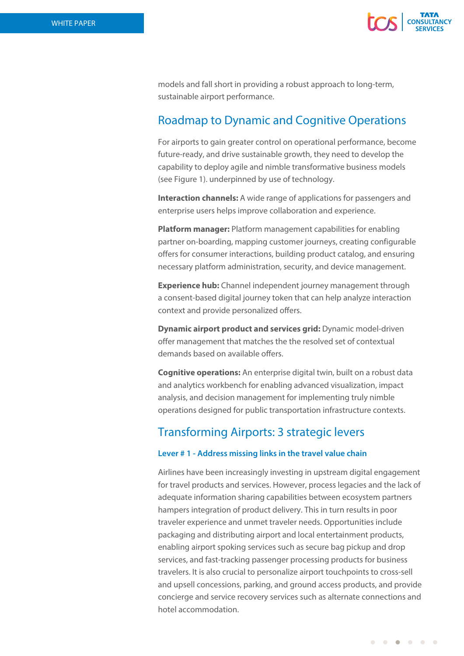

models and fall short in providing a robust approach to long-term, sustainable airport performance.

## Roadmap to Dynamic and Cognitive Operations

For airports to gain greater control on operational performance, become future-ready, and drive sustainable growth, they need to develop the capability to deploy agile and nimble transformative business models (see Figure 1). underpinned by use of technology.

**Interaction channels:** A wide range of applications for passengers and enterprise users helps improve collaboration and experience.

**Platform manager:** Platform management capabilities for enabling partner on-boarding, mapping customer journeys, creating configurable offers for consumer interactions, building product catalog, and ensuring necessary platform administration, security, and device management.

**Experience hub:** Channel independent journey management through a consent-based digital journey token that can help analyze interaction context and provide personalized offers.

**Dynamic airport product and services grid:** Dynamic model-driven offer management that matches the the resolved set of contextual demands based on available offers.

**Cognitive operations:** An enterprise digital twin, built on a robust data and analytics workbench for enabling advanced visualization, impact analysis, and decision management for implementing truly nimble operations designed for public transportation infrastructure contexts.

## Transforming Airports: 3 strategic levers

#### **Lever # 1 - Address missing links in the travel value chain**

Airlines have been increasingly investing in upstream digital engagement for travel products and services. However, process legacies and the lack of adequate information sharing capabilities between ecosystem partners hampers integration of product delivery. This in turn results in poor traveler experience and unmet traveler needs. Opportunities include packaging and distributing airport and local entertainment products, enabling airport spoking services such as secure bag pickup and drop services, and fast-tracking passenger processing products for business travelers. It is also crucial to personalize airport touchpoints to cross-sell and upsell concessions, parking, and ground access products, and provide concierge and service recovery services such as alternate connections and hotel accommodation.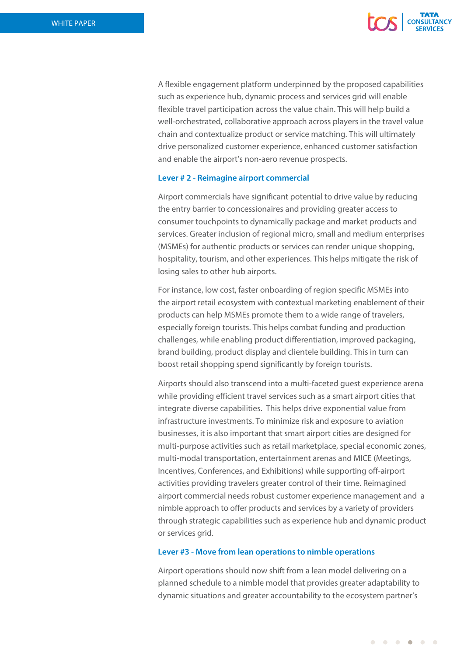

A flexible engagement platform underpinned by the proposed capabilities such as experience hub, dynamic process and services grid will enable flexible travel participation across the value chain. This will help build a well-orchestrated, collaborative approach across players in the travel value chain and contextualize product or service matching. This will ultimately drive personalized customer experience, enhanced customer satisfaction and enable the airport's non-aero revenue prospects.

#### **Lever # 2 - Reimagine airport commercial**

Airport commercials have significant potential to drive value by reducing the entry barrier to concessionaires and providing greater access to consumer touchpoints to dynamically package and market products and services. Greater inclusion of regional micro, small and medium enterprises (MSMEs) for authentic products or services can render unique shopping, hospitality, tourism, and other experiences. This helps mitigate the risk of losing sales to other hub airports.

For instance, low cost, faster onboarding of region specific MSMEs into the airport retail ecosystem with contextual marketing enablement of their products can help MSMEs promote them to a wide range of travelers, especially foreign tourists. This helps combat funding and production challenges, while enabling product differentiation, improved packaging, brand building, product display and clientele building. This in turn can boost retail shopping spend significantly by foreign tourists.

Airports should also transcend into a multi-faceted guest experience arena while providing efficient travel services such as a smart airport cities that integrate diverse capabilities. This helps drive exponential value from infrastructure investments. To minimize risk and exposure to aviation businesses, it is also important that smart airport cities are designed for multi-purpose activities such as retail marketplace, special economic zones, multi-modal transportation, entertainment arenas and MICE (Meetings, Incentives, Conferences, and Exhibitions) while supporting off-airport activities providing travelers greater control of their time. Reimagined airport commercial needs robust customer experience management and a nimble approach to offer products and services by a variety of providers through strategic capabilities such as experience hub and dynamic product or services grid.

#### **Lever #3 - Move from lean operations to nimble operations**

Airport operations should now shift from a lean model delivering on a planned schedule to a nimble model that provides greater adaptability to dynamic situations and greater accountability to the ecosystem partner's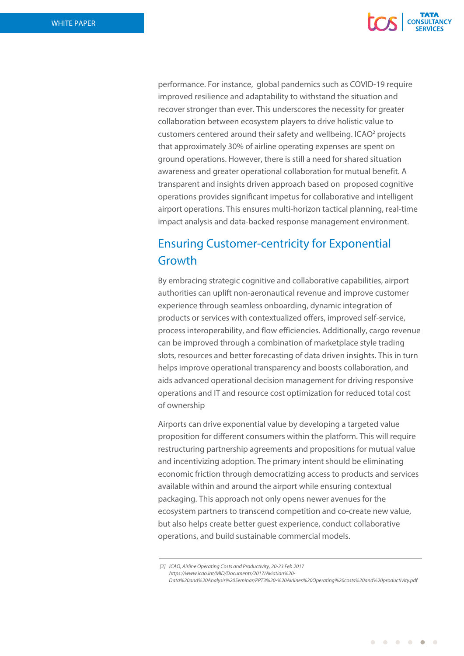

 $\begin{array}{cccccccccccccc} \bullet & \bullet & \bullet & \bullet & \bullet & \bullet & \bullet & \bullet \end{array}$ 

performance. For instance, global pandemics such as COVID-19 require improved resilience and adaptability to withstand the situation and recover stronger than ever. This underscores the necessity for greater collaboration between ecosystem players to drive holistic value to customers centered around their safety and wellbeing. ICAO<sup>2</sup> projects that approximately 30% of airline operating expenses are spent on ground operations. However, there is still a need for shared situation awareness and greater operational collaboration for mutual benefit. A transparent and insights driven approach based on proposed cognitive operations provides significant impetus for collaborative and intelligent airport operations. This ensures multi-horizon tactical planning, real-time impact analysis and data-backed response management environment.

## Ensuring Customer-centricity for Exponential Growth

By embracing strategic cognitive and collaborative capabilities, airport authorities can uplift non-aeronautical revenue and improve customer experience through seamless onboarding, dynamic integration of products or services with contextualized offers, improved self-service, process interoperability, and flow efficiencies. Additionally, cargo revenue can be improved through a combination of marketplace style trading slots, resources and better forecasting of data driven insights. This in turn helps improve operational transparency and boosts collaboration, and aids advanced operational decision management for driving responsive operations and IT and resource cost optimization for reduced total cost of ownership

Airports can drive exponential value by developing a targeted value proposition for different consumers within the platform. This will require restructuring partnership agreements and propositions for mutual value and incentivizing adoption. The primary intent should be eliminating economic friction through democratizing access to products and services available within and around the airport while ensuring contextual packaging. This approach not only opens newer avenues for the ecosystem partners to transcend competition and co-create new value, but also helps create better guest experience, conduct collaborative operations, and build sustainable commercial models.

*<sup>[</sup>*2*] ICAO, Airline Operating Costs and Productivity, 20-23 Feb 2017 https://www.icao.int/MID/Documents/2017/Aviation%20- Data%20and%20Analysis%20Seminar/PPT3%20-%20Airlines%20Operating%20costs%20and%20productivity.pdf*